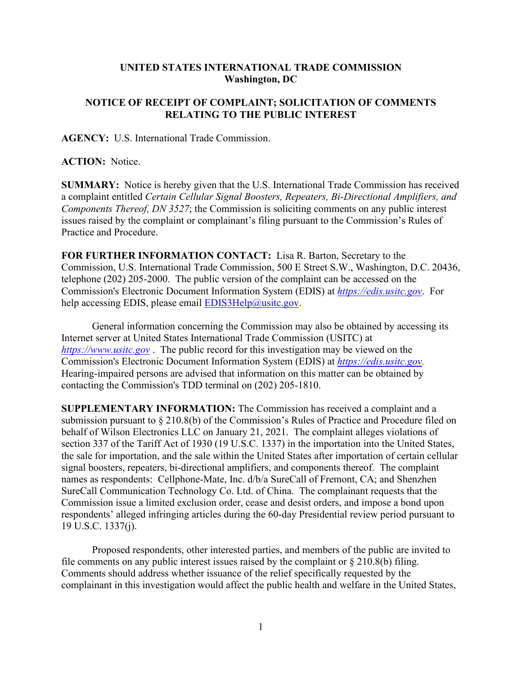## **UNITED STATES INTERNATIONAL TRADE COMMISSION Washington, DC**

## **NOTICE OF RECEIPT OF COMPLAINT; SOLICITATION OF COMMENTS RELATING TO THE PUBLIC INTEREST**

**AGENCY:** U.S. International Trade Commission.

**ACTION:** Notice.

**SUMMARY:** Notice is hereby given that the U.S. International Trade Commission has received a complaint entitled *Certain Cellular Signal Boosters, Repeaters, Bi-Directional Amplifiers, and Components Thereof, DN 3527*; the Commission is soliciting comments on any public interest issues raised by the complaint or complainant's filing pursuant to the Commission's Rules of Practice and Procedure.

**FOR FURTHER INFORMATION CONTACT:** Lisa R. Barton, Secretary to the Commission, U.S. International Trade Commission, 500 E Street S.W., Washington, D.C. 20436, telephone (202) 205-2000. The public version of the complaint can be accessed on the Commission's Electronic Document Information System (EDIS) at *[https://edis.usitc.gov](https://edis.usitc.gov/)*. For help accessing EDIS, please email  $EDIS3Help@usite.gov$ .

General information concerning the Commission may also be obtained by accessing its Internet server at United States International Trade Commission (USITC) at *[https://www.usitc.gov](https://www.usitc.gov/)* . The public record for this investigation may be viewed on the Commission's Electronic Document Information System (EDIS) at *[https://edis.usitc.gov.](https://edis.usitc.gov/)* Hearing-impaired persons are advised that information on this matter can be obtained by contacting the Commission's TDD terminal on (202) 205-1810.

**SUPPLEMENTARY INFORMATION:** The Commission has received a complaint and a submission pursuant to § 210.8(b) of the Commission's Rules of Practice and Procedure filed on behalf of Wilson Electronics LLC on January 21, 2021. The complaint alleges violations of section 337 of the Tariff Act of 1930 (19 U.S.C. 1337) in the importation into the United States, the sale for importation, and the sale within the United States after importation of certain cellular signal boosters, repeaters, bi-directional amplifiers, and components thereof. The complaint names as respondents: Cellphone-Mate, Inc. d/b/a SureCall of Fremont, CA; and Shenzhen SureCall Communication Technology Co. Ltd. of China. The complainant requests that the Commission issue a limited exclusion order, cease and desist orders, and impose a bond upon respondents' alleged infringing articles during the 60-day Presidential review period pursuant to 19 U.S.C. 1337(j).

Proposed respondents, other interested parties, and members of the public are invited to file comments on any public interest issues raised by the complaint or  $\S 210.8(b)$  filing. Comments should address whether issuance of the relief specifically requested by the complainant in this investigation would affect the public health and welfare in the United States,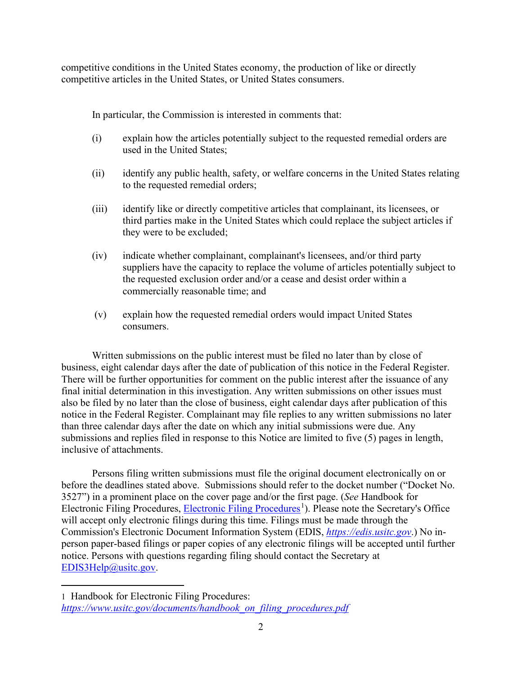competitive conditions in the United States economy, the production of like or directly competitive articles in the United States, or United States consumers.

In particular, the Commission is interested in comments that:

- (i) explain how the articles potentially subject to the requested remedial orders are used in the United States;
- (ii) identify any public health, safety, or welfare concerns in the United States relating to the requested remedial orders;
- (iii) identify like or directly competitive articles that complainant, its licensees, or third parties make in the United States which could replace the subject articles if they were to be excluded;
- (iv) indicate whether complainant, complainant's licensees, and/or third party suppliers have the capacity to replace the volume of articles potentially subject to the requested exclusion order and/or a cease and desist order within a commercially reasonable time; and
- (v) explain how the requested remedial orders would impact United States consumers.

Written submissions on the public interest must be filed no later than by close of business, eight calendar days after the date of publication of this notice in the Federal Register. There will be further opportunities for comment on the public interest after the issuance of any final initial determination in this investigation. Any written submissions on other issues must also be filed by no later than the close of business, eight calendar days after publication of this notice in the Federal Register. Complainant may file replies to any written submissions no later than three calendar days after the date on which any initial submissions were due. Any submissions and replies filed in response to this Notice are limited to five (5) pages in length, inclusive of attachments.

Persons filing written submissions must file the original document electronically on or before the deadlines stated above. Submissions should refer to the docket number ("Docket No. 3527") in a prominent place on the cover page and/or the first page. (*See* Handbook for Electronic Filing Procedures, [Electronic Filing Procedures](https://www.usitc.gov/documents/handbook_on_filing_procedures.pdf)<sup>[1](#page-1-0)</sup>). Please note the Secretary's Office will accept only electronic filings during this time. Filings must be made through the Commission's Electronic Document Information System (EDIS, *[https://edis.usitc.gov](https://edis.usitc.gov/)*.) No inperson paper-based filings or paper copies of any electronic filings will be accepted until further notice. Persons with questions regarding filing should contact the Secretary at [EDIS3Help@usitc.gov.](mailto:EDIS3Help@usitc.gov)

<span id="page-1-0"></span><sup>1</sup> Handbook for Electronic Filing Procedures: *[https://www.usitc.gov/documents/handbook\\_on\\_filing\\_procedures.pdf](https://www.usitc.gov/documents/handbook_on_filing_procedures.pdf)*